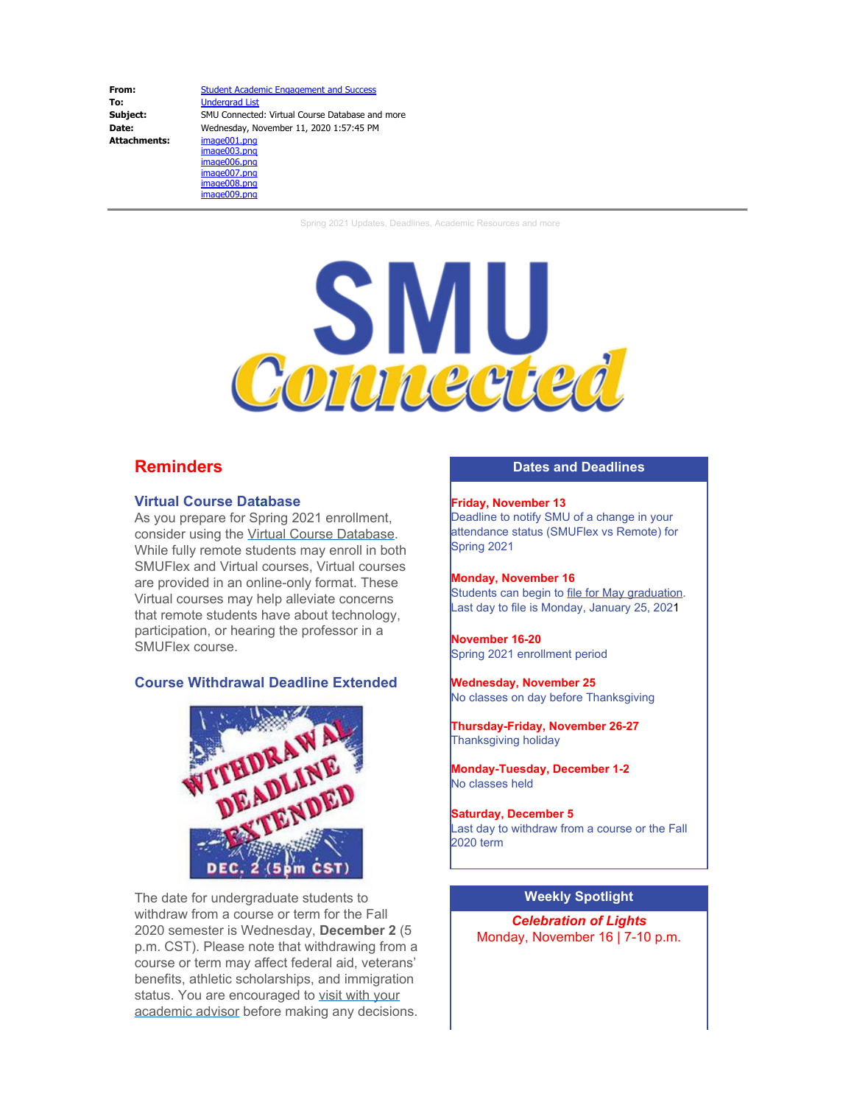**From:** [Student Academic Engagement and Success](mailto:academicsuccess@mail.smu.edu) **To:** [Undergrad List](mailto:Undergraduate@mail.smu.edu)<br> **Subject:** SMU Connected **Subject:** SMU Connected: Virtual Course Database and more<br> **Date:** Wednesday, November 11, 2020 1:57:45 PM Date: Wednesday, November 11, 2020 1:57:45 PM<br>Attachments: image001.png **Attachments:** image001.png image003.png image006.png image007.png image008.png

image009.png

Spring 2021 Updates, Deadlines, Academic Resources and more



# **Reminders**

#### **Virtual Course Database**

As you prepare for Spring 2021 enrollment, consider using the Virtual Course [Database](https://www.smu.edu/Provost/ProvostOffice/SAES/SMUConnected/VirtualCourses). While fully remote students may enroll in both SMUFlex and Virtual courses, Virtual courses are provided in an online-only format. These Virtual courses may help alleviate concerns that remote students have about technology, participation, or hearing the professor in a SMUFlex course.

### **Course Withdrawal Deadline Extended**



The date for undergraduate students to withdraw from a course or term for the Fall 2020 semester is Wednesday, **December 2** (5 p.m. CST). Please note that withdrawing from a course or term may affect federal aid, veterans' benefits, athletic scholarships, and immigration status. You are encouraged to visit with [your](https://gmail.us2.list-manage.com/track/click?u=05c2f1f614b1eab7f31c0ceab&id=d5e42abbc4&e=fb9528eb5c) [academic](https://gmail.us2.list-manage.com/track/click?u=05c2f1f614b1eab7f31c0ceab&id=d5e42abbc4&e=fb9528eb5c) advisor before making any decisions.

### **Dates and Deadlines**

**Friday, November 13** Deadline to notify SMU of a change in your attendance status (SMUFlex vs Remote) for Spring 2021

**Monday, November 16** Students can begin to file for May [graduation.](https://www.smu.edu/EnrollmentServices/Registrar/GraduationAndDiplomaServices) Last day to file is Monday, January 25, 2021

**November 16-20** Spring 2021 enrollment period

**Wednesday, November 25** No classes on day before Thanksgiving

**Thursday-Friday, November 26-27** Thanksgiving holiday

**Monday-Tuesday, December 1-2** No classes held

**Saturday, December 5** Last day to withdraw from a course or the Fall 2020 term

## **Weekly Spotlight**

*Celebration of Lights* Monday, November 16 | 7-10 p.m.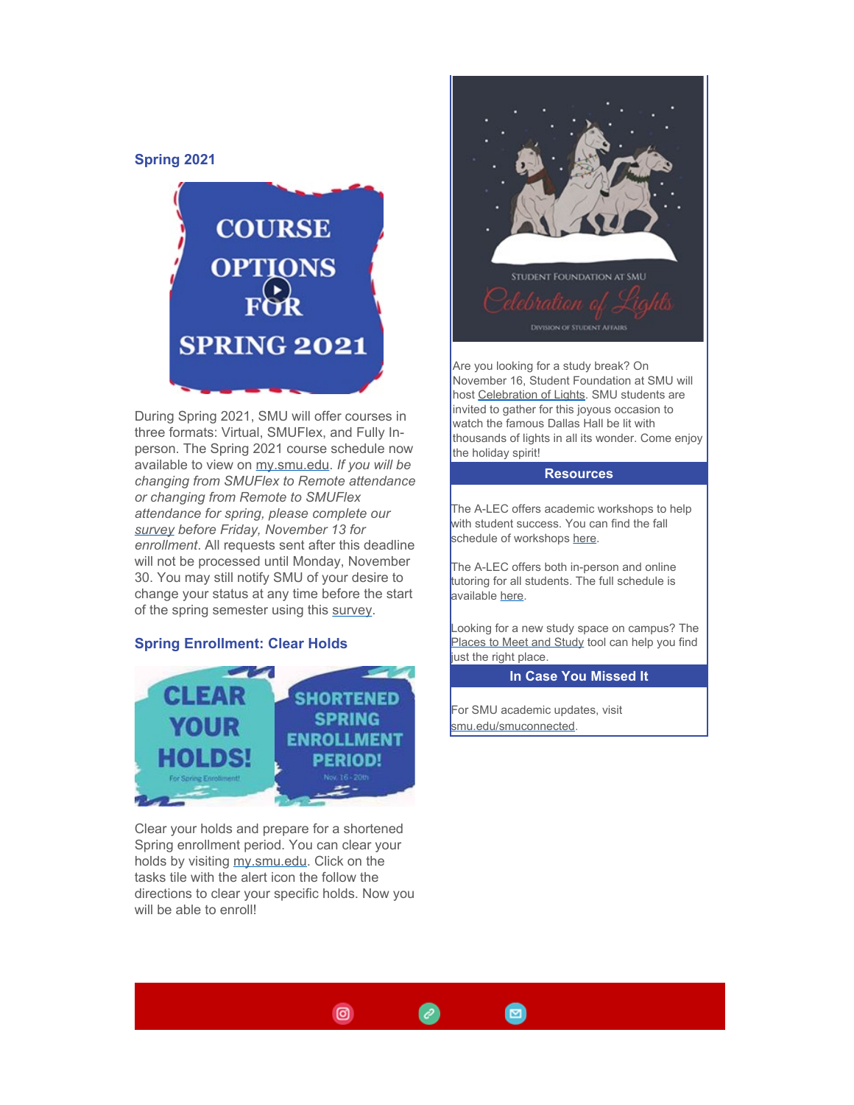### **Spring 2021**



During Spring 2021, SMU will offer courses in three formats: Virtual, SMUFlex, and Fully Inperson. The Spring 2021 course schedule now available to view on [my.smu.edu](http://my.smu.edu/). *If you will be changing from SMUFlex to Remote attendance or changing from Remote to SMUFlex attendance for spring, please complete our [survey](https://smu.az1.qualtrics.com/jfe/form/SV_cOtQBVi6AmYBwrj) before Friday, November 13 for enrollment*. All requests sent after this deadline will not be processed until Monday, November 30. You may still notify SMU of your desire to change your status at any time before the start of the spring semester using this [survey](https://smu.az1.qualtrics.com/jfe/form/SV_cOtQBVi6AmYBwrj).

### **Spring Enrollment: Clear Holds**



Clear your holds and prepare for a shortened Spring enrollment period. You can clear your holds by visiting [my.smu.edu](http://my.smu.edu/). Click on the tasks tile with the alert icon the follow the directions to clear your specific holds. Now you will be able to enroll!



Are you looking for a study break? On November 16, Student Foundation at SMU will host [Celebration](http://smusf.squarespace.com/celebration-of-lights) of Lights. SMU students are invited to gather for this joyous occasion to watch the famous Dallas Hall be lit with thousands of lights in all its wonder. Come enjoy the holiday spirit!

#### **Resources**

The A-LEC offers academic workshops to help with student success. You can find the fall schedule of workshops [here](https://www.smu.edu/Provost/ProvostOffice/SAES/StudentSupport/SASP/Services/Workshops/Schedule).

The A-LEC offers both in-person and online tutoring for all students. The full schedule is available [here](https://www.smu.edu/Provost/ProvostOffice/SAES/StudentSupport/SASP/Services/Tutoring/Schedule).

Looking for a new study space on campus? The [Places](https://www.smu.edu/libraries/about/places) to Meet and Study tool can help you find just the right place.

### **In Case You Missed It**

For SMU academic updates, visit [smu.edu/smuconnected](http://smu.edu/smuconnected).

 $\blacksquare$ 



 $\mathscr{C}$ 

 $\circ$